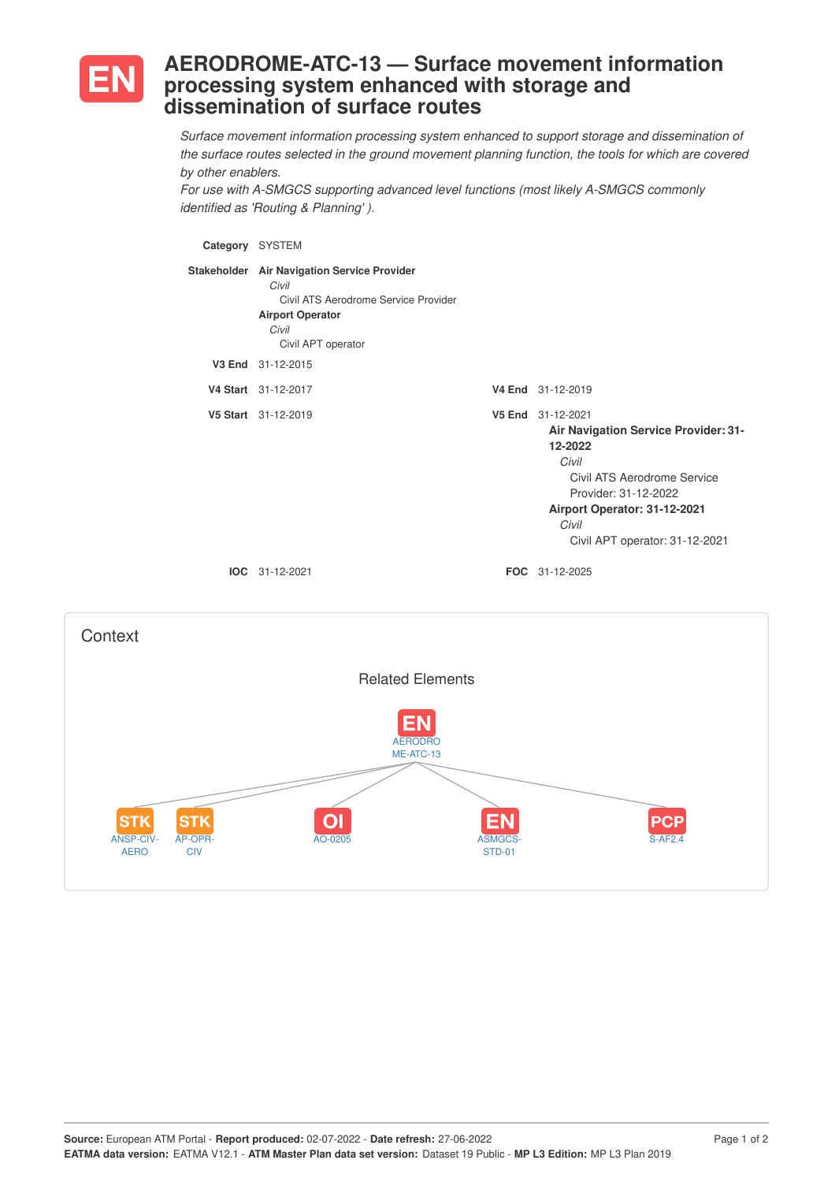

## **AERODROME-ATC-13 — Surface movement information processing system enhanced with storage and dissemination of surface routes**

*Surface movement information processing system enhanced to support storage and dissemination of the surface routes selected in the ground movement planning function, the tools for which are covered by other enablers.*

*For use with A-SMGCS supporting advanced level functions (most likely A-SMGCS commonly identified as 'Routing & Planning' ).*

**Category** SYSTEM **Stakeholder Air Navigation Service Provider** *Civil* Civil ATS Aerodrome Service Provider **Airport Operator** *Civil* Civil APT operator **V3 End** 31-12-2015 **V4 Start** 31-12-2017 **V4 End** 31-12-2019 **V5 Start** 31-12-2019 **V5 End** 31-12-2021 **Air Navigation Service Provider: 31- 12-2022** *Civil* Civil ATS Aerodrome Service Provider: 31-12-2022 **Airport Operator: 31-12-2021** *Civil* Civil APT operator: 31-12-2021 **IOC** 31-12-2021 **FOC** 31-12-2025